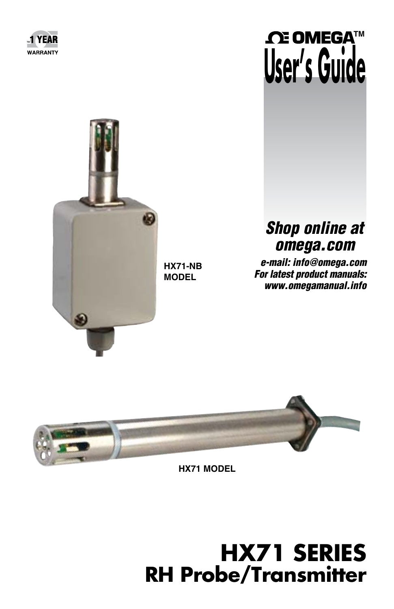





**HX71-NB MODEL**

# *Shop online at omega.com*

*e-mail: info@omega.com For latest product manuals: www.omegamanual.info*



**HX71 MODEL**

# **HX71 SERIES RH Probe/Transmitter**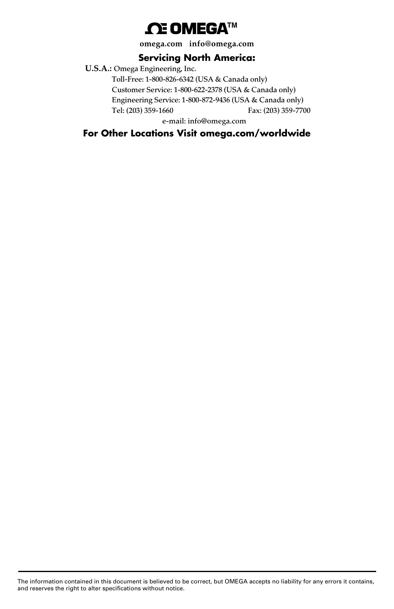## **ΩE** OMEGA™

**omega.com info@omega.com**

#### **Servicing North America:**

**U.S.A.:** Omega Engineering, Inc. Toll-Free: 1-800-826-6342 (USA & Canada only) Customer Service: 1-800-622-2378 (USA & Canada only) Engineering Service: 1-800-872-9436 (USA & Canada only) Tel: (203) 359-1660 Fax: (203) 359-7700 e-mail: info@omega.com

**For Other Locations Visit omega.com/worldwide**

The information contained in this document is believed to be correct, but OMEGA accepts no liability for any errors it contains, and reserves the right to alter specifications without notice.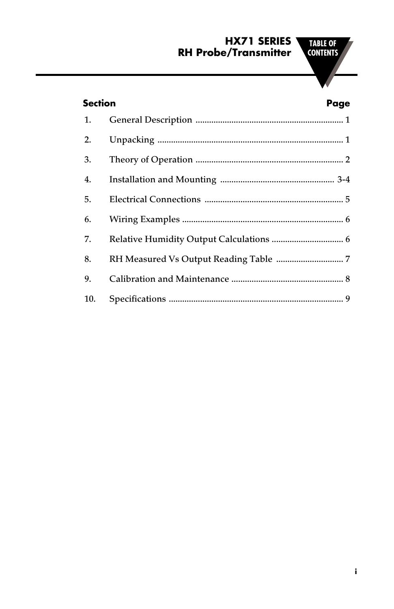#### **HX71 SERIES RH Probe/Transmitter**

#### **Section Page**

| 1.  |  |
|-----|--|
| 2.  |  |
| 3.  |  |
| 4.  |  |
| 5.  |  |
| 6.  |  |
| 7.  |  |
| 8.  |  |
| 9.  |  |
| 10. |  |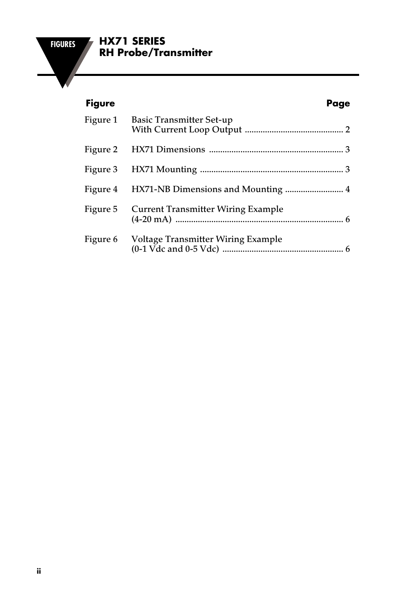#### **FIGURES HX71 SERIES RH Probe/Transmitter**

#### **Figure Page**

|          | Figure 1 Basic Transmitter Set-up         |  |
|----------|-------------------------------------------|--|
|          |                                           |  |
|          |                                           |  |
|          |                                           |  |
| Figure 5 | <b>Current Transmitter Wiring Example</b> |  |
| Figure 6 | Voltage Transmitter Wiring Example        |  |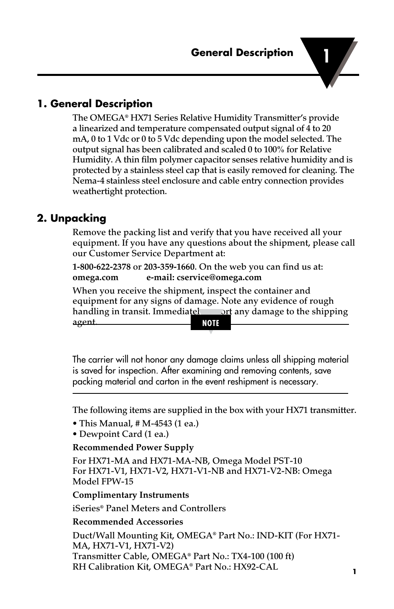#### **1. General Description**

The OMEGA® HX71 Series Relative Humidity Transmitter's provide a linearized and temperature compensated output signal of 4 to 20 mA, 0 to 1 Vdc or 0 to 5 Vdc depending upon the model selected. The output signal has been calibrated and scaled 0 to 100% for Relative Humidity. A thin film polymer capacitor senses relative humidity and is protected by a stainless steel cap that is easily removed for cleaning. The Nema-4 stainless steel enclosure and cable entry connection provides weathertight protection.

#### **2. Unpacking**

Remove the packing list and verify that you have received all your equipment. If you have any questions about the shipment, please call our Customer Service Department at:

**1-800-622-2378** or **203-359-1660**. On the web you can find us at: **omega.com e-mail: cservice@omega.com**

When you receive the shipment, inspect the container and equipment for any signs of damage. Note any evidence of rough handling in transit. Immediately report any damage to the shipping agent.

**NOTE**

The carrier will not honor any damage claims unless all shipping material is saved for inspection. After examining and removing contents, save packing material and carton in the event reshipment is necessary.

The following items are supplied in the box with your HX71 transmitter.

- This Manual, # M-4543 (1 ea.)
- Dewpoint Card (1 ea.)

#### **Recommended Power Supply**

For HX71-MA and HX71-MA-NB, Omega Model PST-10 For HX71-V1, HX71-V2, HX71-V1-NB and HX71-V2-NB: Omega Model FPW-15

#### **Complimentary Instruments**

iSeries® Panel Meters and Controllers

#### **Recommended Accessories**

Duct/Wall Mounting Kit, OMEGA® Part No.: IND-KIT (For HX71- MA, HX71-V1, HX71-V2) Transmitter Cable, OMEGA® Part No.: TX4-100 (100 ft) RH Calibration Kit, OMEGA® Part No.: HX92-CAL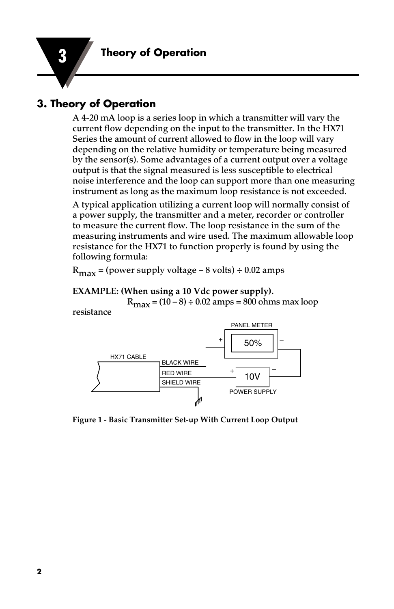#### **3. Theory of Operation**

A 4-20 mA loop is a series loop in which a transmitter will vary the current flow depending on the input to the transmitter. In the HX71 Series the amount of current allowed to flow in the loop will vary depending on the relative humidity or temperature being measured by the sensor(s). Some advantages of a current output over a voltage output is that the signal measured is less susceptible to electrical noise interference and the loop can support more than one measuring instrument as long as the maximum loop resistance is not exceeded.

A typical application utilizing a current loop will normally consist of a power supply, the transmitter and a meter, recorder or controller to measure the current flow. The loop resistance in the sum of the measuring instruments and wire used. The maximum allowable loop resistance for the HX71 to function properly is found by using the following formula:

 $R_{\text{max}}$  = (power supply voltage – 8 volts) ÷ 0.02 amps

#### **EXAMPLE: (When using a 10 Vdc power supply).**

 $R_{\text{max}} = (10 - 8) \div 0.02$  amps = 800 ohms max loop resistance



**Figure 1 - Basic Transmitter Set-up With Current Loop Output**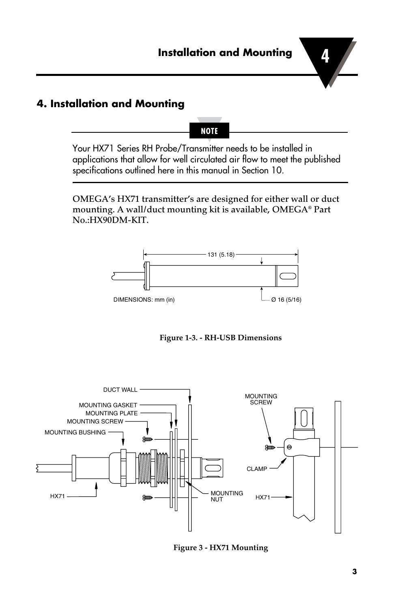#### **4. Installation and Mounting**

Your HX71 Series RH Probe/Transmitter needs to be installed in applications that allow for well circulated air flow to meet the published specifications outlined here in this manual in Section 10.

**NOTE**

OMEGA's HX71 transmitter's are designed for either wall or duct mounting. A wall/duct mounting kit is available, OMEGA® Part No.:HX90DM-KIT.



**Figure 1-3. - RH-USB Dimensions**



**Figure 3 - HX71 Mounting**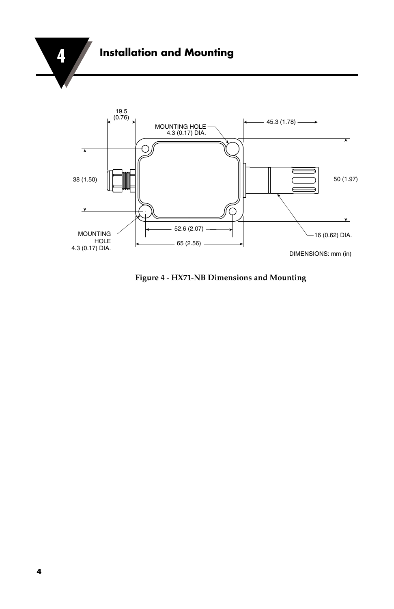



**Figure 4 - HX71-NB Dimensions and Mounting**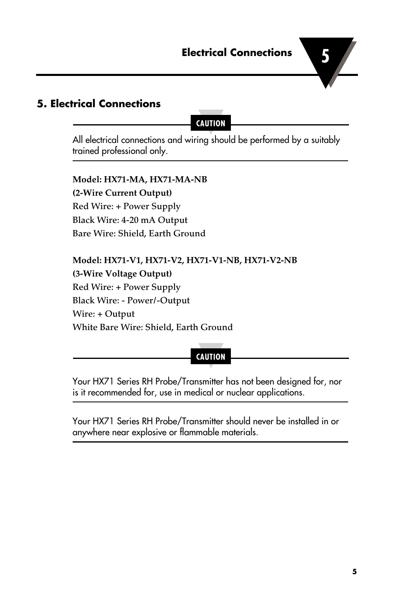#### **5. Electrical Connections**

**CAUTION**

All electrical connections and wiring should be performed by a suitably trained professional only.

**Model: HX71-MA, HX71-MA-NB (2-Wire Current Output)** Red Wire: + Power Supply Black Wire: 4-20 mA Output Bare Wire: Shield, Earth Ground

**Model: HX71-V1, HX71-V2, HX71-V1-NB, HX71-V2-NB (3-Wire Voltage Output)** Red Wire: + Power Supply Black Wire: - Power/-Output Wire: + Output White Bare Wire: Shield, Earth Ground

**CAUTION**

Your HX71 Series RH Probe/Transmitter has not been designed for, nor is it recommended for, use in medical or nuclear applications.

Your HX71 Series RH Probe/Transmitter should never be installed in or anywhere near explosive or flammable materials.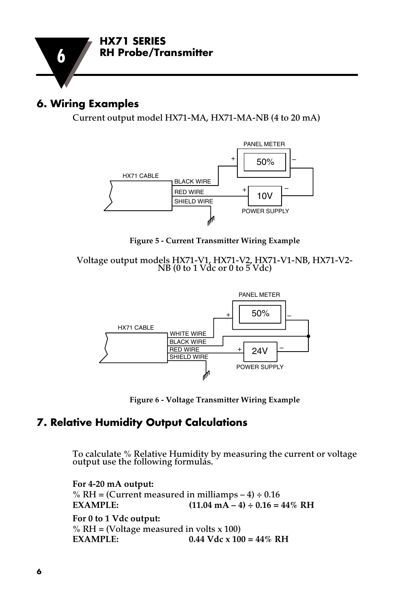

#### **6. Wiring Examples**

Current output model HX71-MA, HX71-MA-NB (4 to 20 mA)



Figure 5 - Current Transmitter Wiring Example

Voltage output models HX71-V1, HX71-V2, HX71-V1-NB, HX71-V2-<br>NB (0 to 1 Vdc or 0 to 5 Vdc)  $H<sub>A</sub>/I-V<sub>L</sub>$  $\omega$   $\theta$  vuc)  $HY$  $\mathbf{1}$ .<br>50 EIV – 1994 E  $\sqrt{a}$ 



**Figure 6 - Voltage Transmitter Wiring Example**

#### **7. Relative Humidity Output Calculations**

To calculate % Relative Humidity by measuring the current or voltage output use the following formulas.

**For 4-20 mA output:** % RH = (Current measured in milliamps  $-4$ ) ÷ 0.16 **EXAMPLE:** (11.04 mA – 4) ÷ 0.16 = 44% RH **For 0 to 1 Vdc output:** % RH = (Voltage measured in volts  $x$  100)<br>EXAMPLE: 0.44 Vdc  $x$  10  $0.44$  Vdc x  $100 = 44\%$  RH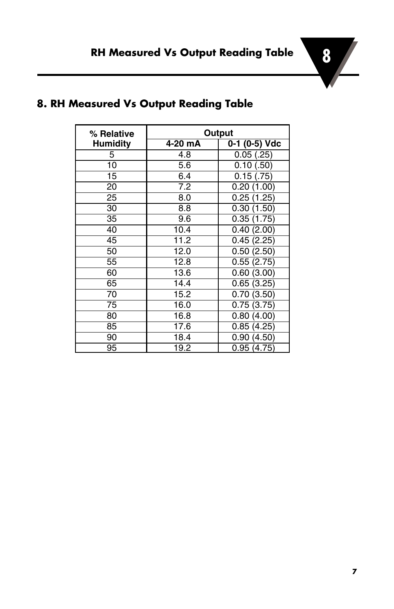

| % Relative      |         | Output        |
|-----------------|---------|---------------|
| <b>Humidity</b> | 4-20 mA | 0-1 (0-5) Vdc |
| 5               | 4.8     | 0.05(.25)     |
| 10              | 5.6     | 0.10(.50)     |
| 15              | 6.4     | 0.15(.75)     |
| 20              | 7.2     | 0.20(1.00)    |
| 25              | 8.0     | 0.25(1.25)    |
| 30              | 8.8     | 0.30(1.50)    |
| 35              | 9.6     | 0.35(1.75)    |
| 40              | 10.4    | 0.40(2.00)    |
| 45              | 11.2    | 0.45(2.25)    |
| 50              | 12.0    | 0.50(2.50)    |
| 55              | 12.8    | 0.55(2.75)    |
| 60              | 13.6    | 0.60(3.00)    |
| 65              | 14.4    | 0.65(3.25)    |
| 70              | 15.2    | 0.70(3.50)    |
| 75              | 16.0    | 0.75(3.75)    |
| 80              | 16.8    | 0.80(4.00)    |
| 85              | 17.6    | 0.85(4.25)    |
| 90              | 18.4    | 0.90(4.50)    |
| 95              | 19.2    | 0.95 (4.75)   |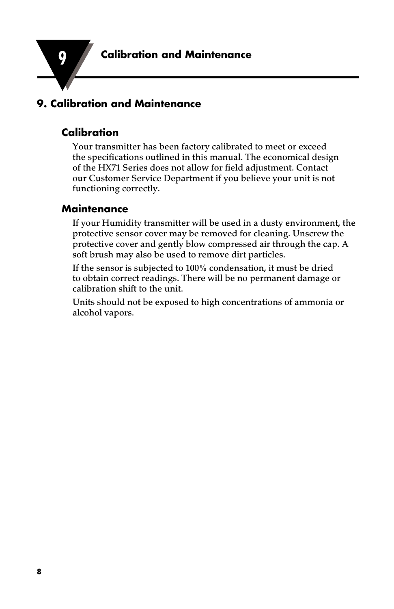

#### **9. Calibration and Maintenance**

#### **Calibration**

Your transmitter has been factory calibrated to meet or exceed the specifications outlined in this manual. The economical design of the HX71 Series does not allow for field adjustment. Contact our Customer Service Department if you believe your unit is not functioning correctly.

#### **Maintenance**

If your Humidity transmitter will be used in a dusty environment, the protective sensor cover may be removed for cleaning. Unscrew the protective cover and gently blow compressed air through the cap. A soft brush may also be used to remove dirt particles.

If the sensor is subjected to 100% condensation, it must be dried to obtain correct readings. There will be no permanent damage or calibration shift to the unit.

Units should not be exposed to high concentrations of ammonia or alcohol vapors.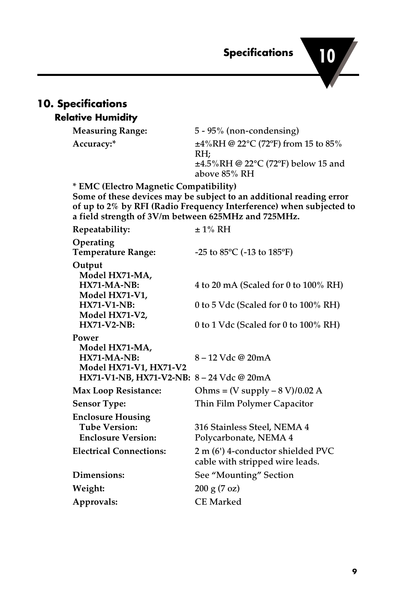**10 Specifications** 

# **10. Specifications**

#### **Relative Humidity**

**Measuring Range:** 5 - 95% (non-condensing) **Accuracy:\*** ±4%RH @ 22°C (72ºF) from 15 to 85% RH; ±4.5%RH @ 22°C (72ºF) below 15 and above 85% RH

**\* EMC (Electro Magnetic Compatibility)**

**Some of these devices may be subject to an additional reading error of up to 2% by RFI (Radio Frequency Interference) when subjected to a field strength of 3V/m between 625MHz and 725MHz.**

| Repeatability:                            | $\pm$ 1% RH                                     |  |
|-------------------------------------------|-------------------------------------------------|--|
| Operating<br><b>Temperature Range:</b>    | -25 to $85^{\circ}$ C (-13 to 185 $^{\circ}$ F) |  |
| Output                                    |                                                 |  |
| Model HX71-MA,                            |                                                 |  |
| $HX71-MA-NB:$                             | 4 to 20 mA (Scaled for 0 to $100\%$ RH)         |  |
| Model HX71-V1,                            |                                                 |  |
| <b>HX71-V1-NB:</b>                        | 0 to 5 Vdc (Scaled for 0 to $100\%$ RH)         |  |
| Model HX71-V2,                            |                                                 |  |
| <b>HX71-V2-NB:</b>                        | 0 to 1 Vdc (Scaled for 0 to $100\%$ RH)         |  |
| Power                                     |                                                 |  |
| Model HX71-MA,                            |                                                 |  |
| $HX71-MA-NB:$                             | 8 – 12 Vdc @ 20mA                               |  |
| <b>Model HX71-V1, HX71-V2</b>             |                                                 |  |
| HX71-V1-NB, HX71-V2-NB: 8 – 24 Vdc @ 20mA |                                                 |  |
| <b>Max Loop Resistance:</b>               | Ohms = $(V$ supply $- 8 V$ $/ 0.02 A$           |  |
| <b>Sensor Type:</b>                       | Thin Film Polymer Capacitor                     |  |
| <b>Enclosure Housing</b>                  |                                                 |  |
| Tube Version:                             | 316 Stainless Steel, NEMA 4                     |  |
| <b>Enclosure Version:</b>                 | Polycarbonate, NEMA 4                           |  |
| <b>Electrical Connections:</b>            | 2 m (6') 4-conductor shielded PVC               |  |
|                                           | cable with stripped wire leads.                 |  |
| Dimensions:                               | See "Mounting" Section                          |  |
| Weight:                                   | 200 g (7 oz)                                    |  |
| Approvals:                                | <b>CE Marked</b>                                |  |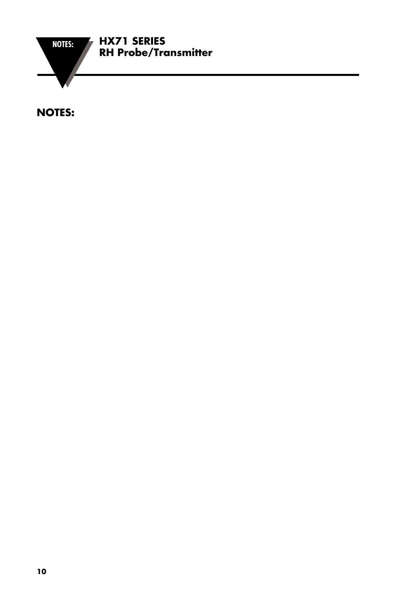

**NOTES:**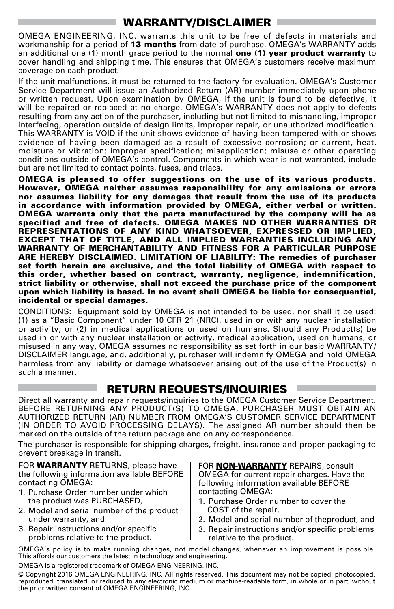#### WARRANTY/DISCLAIMER

OMEGA ENGINEERING, INC. warrants this unit to be free of defects in materials and workmanship for a period of 13 months from date of purchase. OMEGA's WARRANTY adds an additional one (1) month grace period to the normal **one (1) year product warranty** to cover handling and shipping time. This ensures that OMEGA's customers receive maximum coverage on each product.

If the unit malfunctions, it must be returned to the factory for evaluation. OMEGA's Customer Service Department will issue an Authorized Return (AR) number immediately upon phone or written request. Upon examination by OMEGA, if the unit is found to be defective, it will be repaired or replaced at no charge. OMEGA's WARRANTY does not apply to defects resulting from any action of the purchaser, including but not limited to mishandling, improper interfacing, operation outside of design limits, improper repair, or unauthorized modification. This WARRANTY is VOID if the unit shows evidence of having been tampered with or shows evidence of having been damaged as a result of excessive corrosion; or current, heat, moisture or vibration; improper specification; misapplication; misuse or other operating conditions outside of OMEGA's control. Components in which wear is not warranted, include but are not limited to contact points, fuses, and triacs.

OMEGA is pleased to offer suggestions on the use of its various products. However, OMEGA neither assumes responsibility for any omissions or errors nor assumes liability for any damages that result from the use of its products in accordance with information provided by OMEGA, either verbal or written. OMEGA warrants only that the parts manufactured by the company will be as specified and free of defects. OMEGA MAKES NO OTHER WARRANTIES OR REPRESENTATIONS OF ANY KIND WHATSOEVER, EXPRESSED OR IMPLIED, EXCEPT THAT OF TITLE, AND ALL IMPLIED WARRANTIES INCLUDING ANY WARRANTY OF MERCHANTABILITY AND FITNESS FOR A PARTICULAR PURPOSE ARE HEREBY DISCLAIMED. LIMITATION OF LIABILITY: The remedies of purchaser set forth herein are exclusive, and the total liability of OMEGA with respect to this order, whether based on contract, warranty, negligence, indemnification, strict liability or otherwise, shall not exceed the purchase price of the component upon which liability is based. In no event shall OMEGA be liable for consequential, incidental or special damages.

CONDITIONS: Equipment sold by OMEGA is not intended to be used, nor shall it be used: (1) as a "Basic Component" under 10 CFR 21 (NRC), used in or with any nuclear installation or activity; or (2) in medical applications or used on humans. Should any Product(s) be used in or with any nuclear installation or activity, medical application, used on humans, or misused in any way, OMEGA assumes no responsibility as set forth in our basic WARRANTY/ DISCLAIMER language, and, additionally, purchaser will indemnify OMEGA and hold OMEGA harmless from any liability or damage whatsoever arising out of the use of the Product(s) in such a manner.

#### RETURN REQUESTS/INQUIRIES

Direct all warranty and repair requests/inquiries to the OMEGA Customer Service Department. BEFORE RETURNING ANY PRODUCT(S) TO OMEGA, PURCHASER MUST OBTAIN AN AUTHORIZED RETURN (AR) NUMBER FROM OMEGA'S CUSTOMER SERVICE DEPARTMENT (IN ORDER TO AVOID PROCESSING DELAYS). The assigned AR number should then be marked on the outside of the return package and on any correspondence.

The purchaser is responsible for shipping charges, freight, insurance and proper packaging to prevent breakage in transit.

FOR **WARRANTY** RETURNS, please have the following information available BEFORE contacting OMEGA:

- 1. Purchase Order number under which the product was PURCHASED,
- 2. Model and serial number of the product under warranty, and
- 3. Repair instructions and/or specific problems relative to the product.

FOR **NON-WARRANTY** REPAIRS, consult OMEGA for current repair charges. Have the following information available BEFORE contacting OMEGA:

- 1. Purchase Order number to cover the COST of the repair,
- 2. Model and serial number of theproduct, and
- 3. Repair instructions and/or specific problems relative to the product.

OMEGA's policy is to make running changes, not model changes, whenever an improvement is possible. This affords our customers the latest in technology and engineering.

OMEGA is a registered trademark of OMEGA ENGINEERING, INC.

© Copyright 2016 OMEGA ENGINEERING, INC. All rights reserved. This document may not be copied, photocopied, reproduced, translated, or reduced to any electronic medium or machine-readable form, in whole or in part, without the prior written consent of OMEGA ENGINEERING, INC.